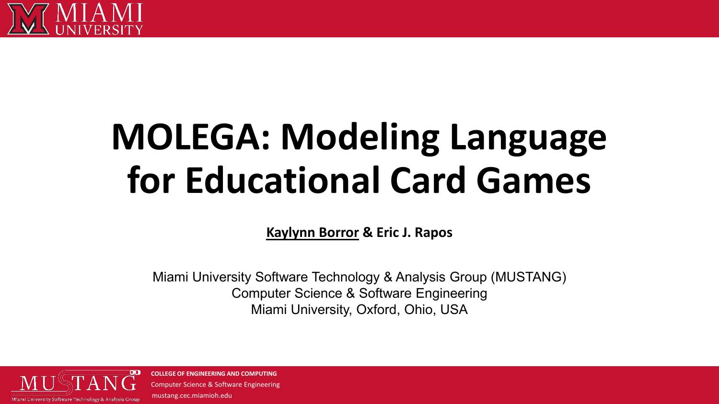

# **MOLEGA: Modeling Language for Educational Card Games**

**Kaylynn Borror & Eric J. Rapos**

Miami University Software Technology & Analysis Group (MUSTANG) Computer Science & Software Engineering Miami University, Oxford, Ohio, USA

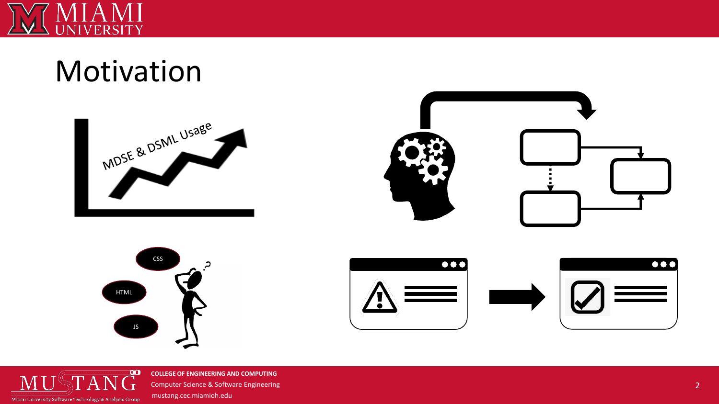

## Motivation









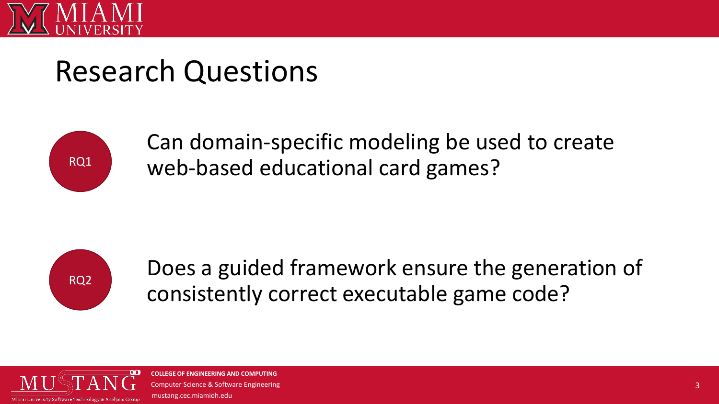

## Research Questions



Can domain-specific modeling be used to create web-based educational card games?



Does a guided framework ensure the generation of consistently correct executable game code?

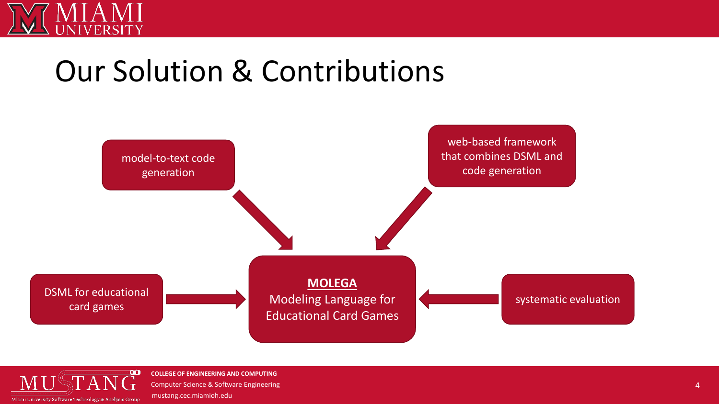

## Our Solution & Contributions



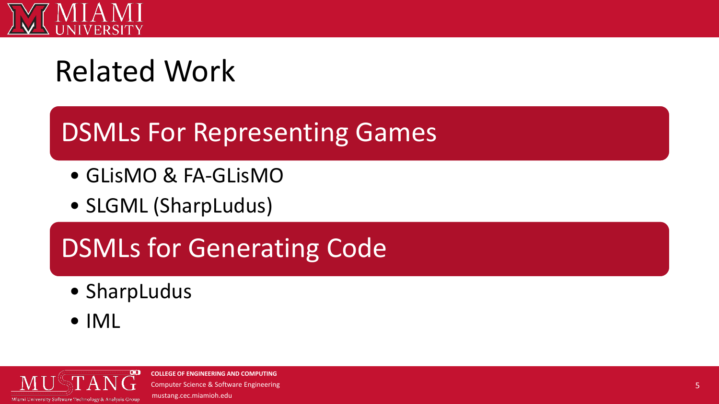

# Related Work

## DSMLs For Representing Games

- GLisMO & FA-GLisMO
- SLGML (SharpLudus)

## DSMLs for Generating Code

- SharpLudus
- IML

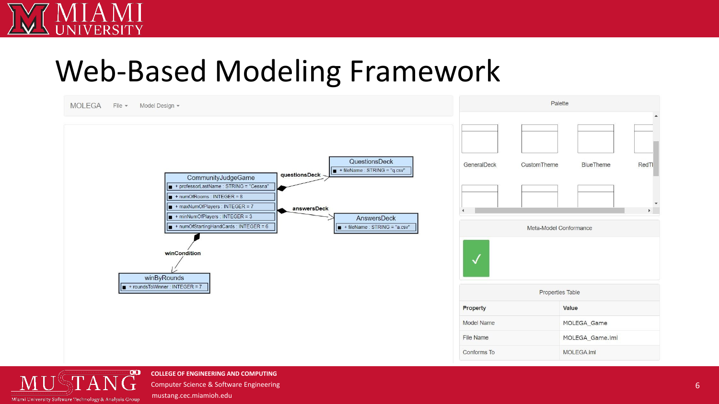## Web-Based Modeling Framework





**COLLEGE OF ENGINEERING AND COMPUTING** Computer Science & Software Engineering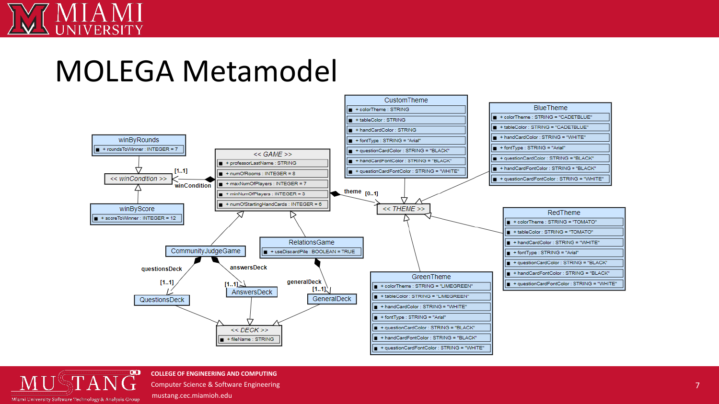## MOLEGA Metamodel



 $\infty$ Miami University Software Technology & Analysis Group

**COLLEGE OF ENGINEERING AND COMPUTING** Computer Science & Software Engineering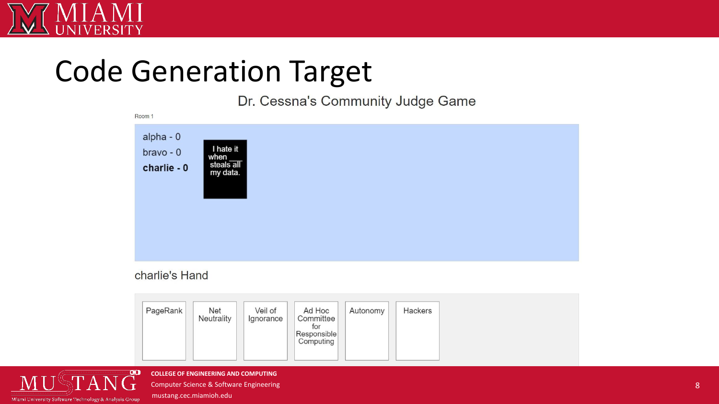

# Code Generation Target

Dr. Cessna's Community Judge Game



### charlie's Hand

| PageRank<br>Net<br>Veil of<br>Ad Hoc<br>Hackers<br>Autonomy<br>Neutrality<br>Committee<br>Ignorance<br>for<br>Responsible<br>Computing |
|----------------------------------------------------------------------------------------------------------------------------------------|
|----------------------------------------------------------------------------------------------------------------------------------------|



**COLLEGE OF ENGINEERING AND COMPUTING**

Computer Science & Software Engineering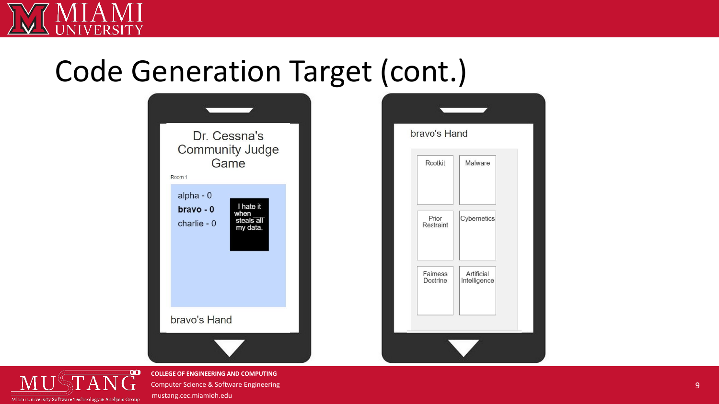

## Code Generation Target (cont.)



Malware

Artificial

Intelligence

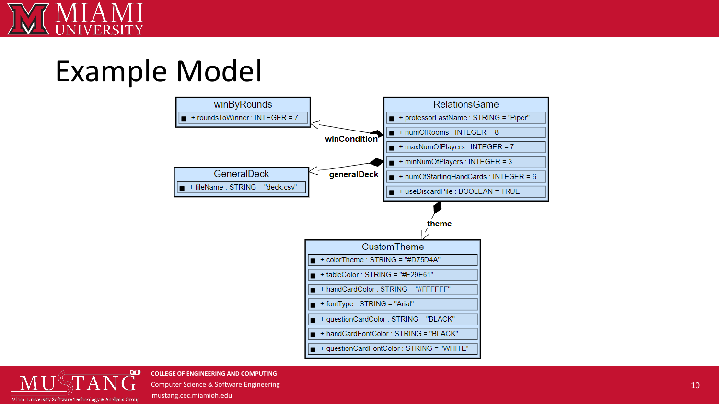

## Example Model



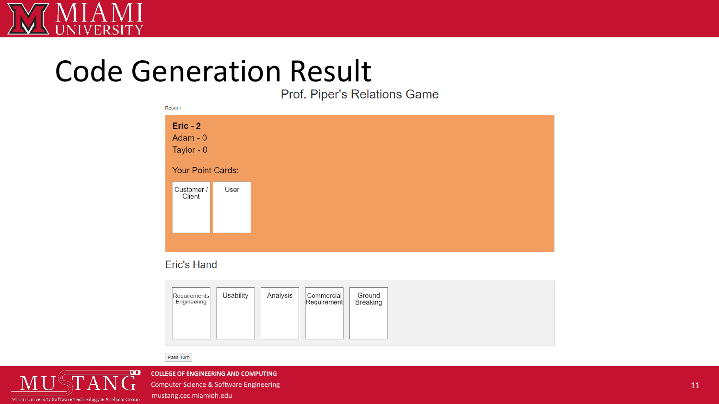

# Code Generation Result<br>Prof. Piper's Relations Game

| ROOM 1            |      |
|-------------------|------|
| $Eric - 2$        |      |
| Adam - 0          |      |
| Taylor - 0        |      |
| Your Point Cards: |      |
| Customer /        | User |
| Client            |      |
|                   |      |
|                   |      |
|                   |      |

### **Eric's Hand**

| Requirements<br>Engineering | Usability | Analysis | Commercial<br>Requirement | Ground<br><b>Breaking</b> |
|-----------------------------|-----------|----------|---------------------------|---------------------------|
|                             |           |          |                           |                           |

Pass Turn



**COLLEGE OF ENGINEERING AND COMPUTING** Computer Science & Software Engineering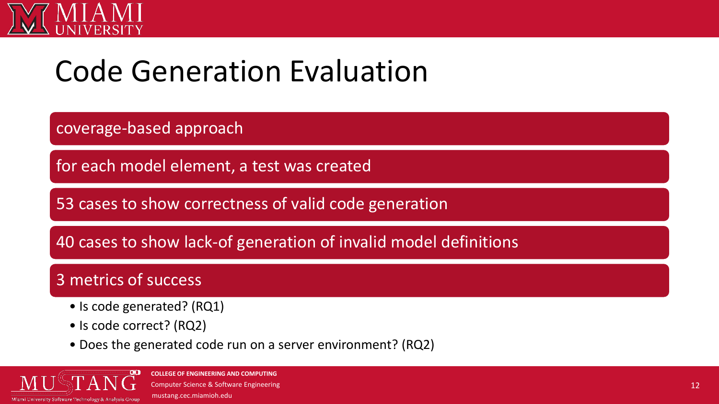

## Code Generation Evaluation

coverage-based approach

for each model element, a test was created

53 cases to show correctness of valid code generation

40 cases to show lack-of generation of invalid model definitions

### 3 metrics of success

- Is code generated? (RQ1)
- Is code correct? (RQ2)
- Does the generated code run on a server environment? (RQ2)

Miami University Software Technology & Analysis Grou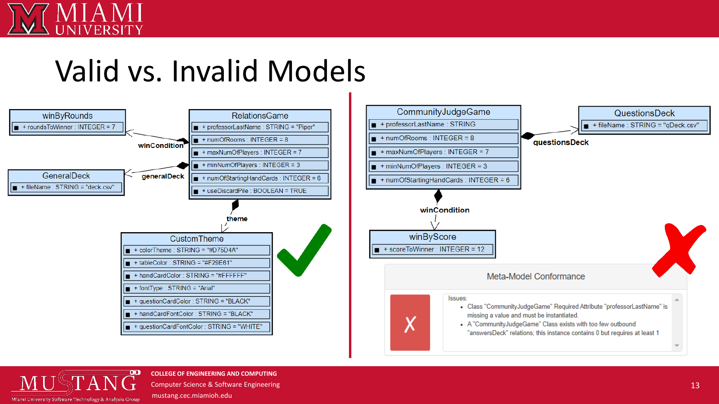

## Valid vs. Invalid Models





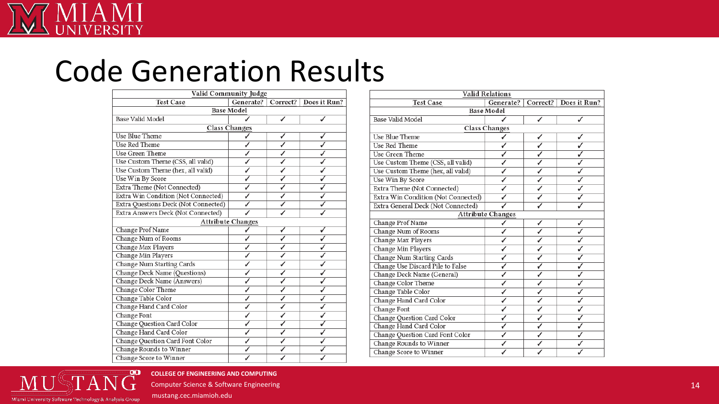# Code Generation Results

| Valid Community Judge                |  |   |                                     |  |  |  |
|--------------------------------------|--|---|-------------------------------------|--|--|--|
| <b>Test Case</b>                     |  |   | Generate?   Correct?   Does it Run? |  |  |  |
| <b>Base Model</b>                    |  |   |                                     |  |  |  |
| Base Valid Model                     |  |   |                                     |  |  |  |
| <b>Class Changes</b>                 |  |   |                                     |  |  |  |
| Use Blue Theme                       |  |   |                                     |  |  |  |
| <b>Use Red Theme</b>                 |  |   |                                     |  |  |  |
| Use Green Theme                      |  |   |                                     |  |  |  |
| Use Custom Theme (CSS, all valid)    |  |   |                                     |  |  |  |
| Use Custom Theme (hex, all valid)    |  |   |                                     |  |  |  |
| Use Win By Score                     |  |   |                                     |  |  |  |
| Extra Theme (Not Connected)          |  |   |                                     |  |  |  |
| Extra Win Condition (Not Connected)  |  |   |                                     |  |  |  |
| Extra Questions Deck (Not Connected) |  |   |                                     |  |  |  |
| Extra Answers Deck (Not Connected)   |  |   |                                     |  |  |  |
| <b>Attribute Changes</b>             |  |   |                                     |  |  |  |
| Change Prof Name                     |  | √ |                                     |  |  |  |
| Change Num of Rooms                  |  | J |                                     |  |  |  |
| Change Max Players                   |  |   |                                     |  |  |  |
| Change Min Players                   |  |   |                                     |  |  |  |
| Change Num Starting Cards            |  |   |                                     |  |  |  |
| Change Deck Name (Questions)         |  |   |                                     |  |  |  |
| Change Deck Name (Answers)           |  |   |                                     |  |  |  |
| Change Color Theme                   |  |   |                                     |  |  |  |
| Change Table Color                   |  |   |                                     |  |  |  |
| Change Hand Card Color               |  |   |                                     |  |  |  |
| Change Font                          |  |   |                                     |  |  |  |
| Change Question Card Color           |  |   |                                     |  |  |  |
| Change Hand Card Color               |  | ✓ |                                     |  |  |  |
| Change Question Card Font Color      |  | J |                                     |  |  |  |
| Change Rounds to Winner              |  |   |                                     |  |  |  |
| Change Score to Winner               |  |   |                                     |  |  |  |

| <b>Valid Relations</b>              |           |          |              |  |  |  |  |
|-------------------------------------|-----------|----------|--------------|--|--|--|--|
| <b>Test Case</b>                    | Generate? | Correct? | Does it Run? |  |  |  |  |
| <b>Base Model</b>                   |           |          |              |  |  |  |  |
| Base Valid Model                    |           |          |              |  |  |  |  |
| Class Changes                       |           |          |              |  |  |  |  |
| Use Blue Theme                      |           |          |              |  |  |  |  |
| Use Red Theme                       |           |          |              |  |  |  |  |
| Use Green Theme                     |           |          |              |  |  |  |  |
| Use Custom Theme (CSS, all valid)   |           |          |              |  |  |  |  |
| Use Custom Theme (hex, all valid)   |           |          |              |  |  |  |  |
| Use Win By Score                    |           |          |              |  |  |  |  |
| Extra Theme (Not Connected)         |           |          |              |  |  |  |  |
| Extra Win Condition (Not Connected) |           |          |              |  |  |  |  |
| Extra General Deck (Not Connected)  |           |          |              |  |  |  |  |
| <b>Attribute Changes</b>            |           |          |              |  |  |  |  |
| Change Prof Name                    |           |          |              |  |  |  |  |
| Change Num of Rooms                 |           |          |              |  |  |  |  |
| Change Max Players                  |           |          |              |  |  |  |  |
| Change Min Players                  |           |          |              |  |  |  |  |
| Change Num Starting Cards           |           |          |              |  |  |  |  |
| Change Use Discard Pile to False    |           |          |              |  |  |  |  |
| Change Deck Name (General)          |           |          |              |  |  |  |  |
| Change Color Theme                  |           |          |              |  |  |  |  |
| Change Table Color                  |           | J        |              |  |  |  |  |
| Change Hand Card Color              |           |          |              |  |  |  |  |
| Change Font                         |           |          |              |  |  |  |  |
| Change Question Card Color          |           |          |              |  |  |  |  |
| Change Hand Card Color              |           |          |              |  |  |  |  |
| Change Question Card Font Color     |           |          |              |  |  |  |  |
| Change Rounds to Winner             |           |          |              |  |  |  |  |
| Change Score to Winner              |           |          |              |  |  |  |  |



**COLLEGE OF ENGINEERING AND COMPUTING**

Computer Science & Software Engineering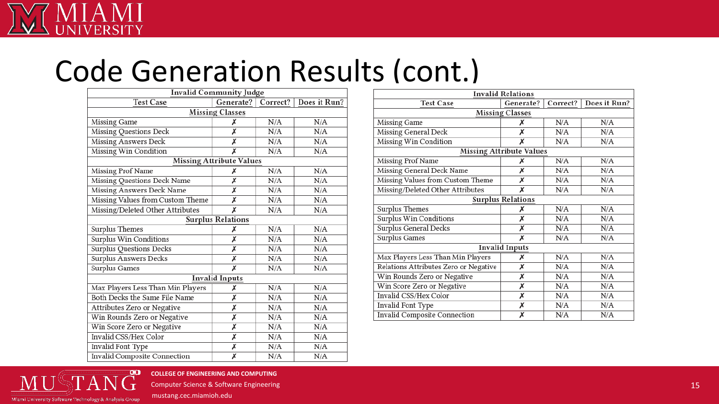## Code Generation Results (cont.)

| <b>Invalid Community Judge</b>    |                         |          |              |  |  |  |
|-----------------------------------|-------------------------|----------|--------------|--|--|--|
| <b>Test Case</b>                  | Generate?               | Correct? | Does it Run? |  |  |  |
| <b>Missing Classes</b>            |                         |          |              |  |  |  |
| Missing Game                      | х                       | N/A      | N/A          |  |  |  |
| Missing Questions Deck            | Х                       | N/A      | N/A          |  |  |  |
| Missing Answers Deck              | Х                       | N/A      | N/A          |  |  |  |
| Missing Win Condition             | Х                       | N/A      | N/A          |  |  |  |
| <b>Missing Attribute Values</b>   |                         |          |              |  |  |  |
| Missing Prof Name                 | Х                       | N/A      | N/A          |  |  |  |
| Missing Questions Deck Name       | Х                       | N/A      | N/A          |  |  |  |
| Missing Answers Deck Name         | Х                       | N/A      | N/A          |  |  |  |
| Missing Values from Custom Theme  | Х                       | N/A      | N/A          |  |  |  |
| Missing/Deleted Other Attributes  | Х                       | N/A      | N/A          |  |  |  |
| <b>Surplus Relations</b>          |                         |          |              |  |  |  |
| Surplus Themes                    | х                       | N/A      | N/A          |  |  |  |
| Surplus Win Conditions            | Х                       | N/A      | N/A          |  |  |  |
| <b>Surplus Questions Decks</b>    | X                       | N/A      | N/A          |  |  |  |
| Surplus Answers Decks             | Х                       | N/A      | N/A          |  |  |  |
| Surplus Games                     | X                       | N/A      | N/A          |  |  |  |
| <b>Invalid Inputs</b>             |                         |          |              |  |  |  |
| Max Players Less Than Min Players | х                       | N/A      | N/A          |  |  |  |
| Both Decks the Same File Name     | Х                       | N/A      | N/A          |  |  |  |
| Attributes Zero or Negative       | Х                       | N/A      | N/A          |  |  |  |
| Win Rounds Zero or Negative       | Х                       | N/A      | N/A          |  |  |  |
| Win Score Zero or Negative        | Х                       | N/A      | N/A          |  |  |  |
| Invalid CSS/Hex Color             | Х                       | N/A      | N/A          |  |  |  |
| Invalid Font Type                 | Х                       | N/A      | N/A          |  |  |  |
| Invalid Composite Connection      | $\overline{\mathsf{x}}$ | N/A      | N/A          |  |  |  |

| <b>Invalid Relations</b>              |           |          |              |  |  |  |
|---------------------------------------|-----------|----------|--------------|--|--|--|
| <b>Test Case</b>                      | Generate? | Correct? | Does it Run? |  |  |  |
| <b>Missing Classes</b>                |           |          |              |  |  |  |
| Missing Game                          | х         | N/A      | N/A          |  |  |  |
| Missing General Deck                  | х         | N/A      | N/A          |  |  |  |
| Missing Win Condition                 | X         | N/A      | N/A          |  |  |  |
| <b>Missing Attribute Values</b>       |           |          |              |  |  |  |
| Missing Prof Name                     | х         | N/A      | N/A          |  |  |  |
| Missing General Deck Name             | х         | N/A      | N/A          |  |  |  |
| Missing Values from Custom Theme      | Х         | N/A      | N/A          |  |  |  |
| Missing/Deleted Other Attributes      | х         | N/A      | N/A          |  |  |  |
| <b>Surplus Relations</b>              |           |          |              |  |  |  |
| Surplus Themes                        | х         | N/A      | N/A          |  |  |  |
| Surplus Win Conditions                | Х         | N/A      | N/A          |  |  |  |
| <b>Surplus General Decks</b>          | X         | N/A      | N/A          |  |  |  |
| Surplus Games                         | х         | N/A      | N/A          |  |  |  |
| <b>Invalid Inputs</b>                 |           |          |              |  |  |  |
| Max Players Less Than Min Players     | х         | N/A      | N/A          |  |  |  |
| Relations Attributes Zero or Negative | Х         | N/A      | N/A          |  |  |  |
| Win Rounds Zero or Negative           | Х         | N/A      | N/A          |  |  |  |
| Win Score Zero or Negative            | Х         | N/A      | N/A          |  |  |  |
| Invalid CSS/Hex Color                 | Х         | N/A      | N/A          |  |  |  |
| <b>Invalid Font Type</b>              | Х         | N/A      | N/A          |  |  |  |
| Invalid Composite Connection          | Х         | N/A      | N/A          |  |  |  |



**COLLEGE OF ENGINEERING AND COMPUTING**

Computer Science & Software Engineering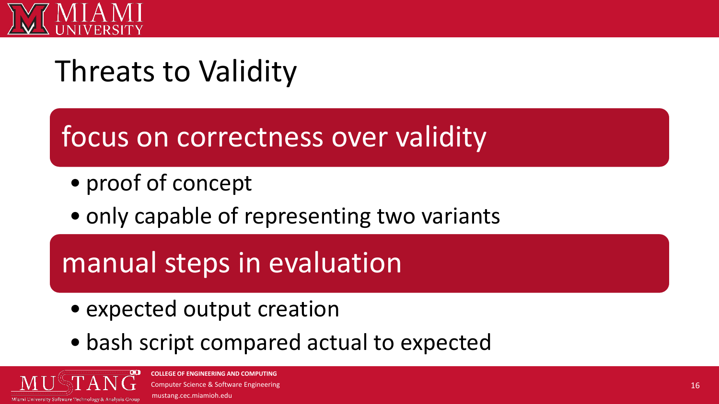

## Threats to Validity

focus on correctness over validity

- proof of concept
- only capable of representing two variants

## manual steps in evaluation

- expected output creation
- bash script compared actual to expected

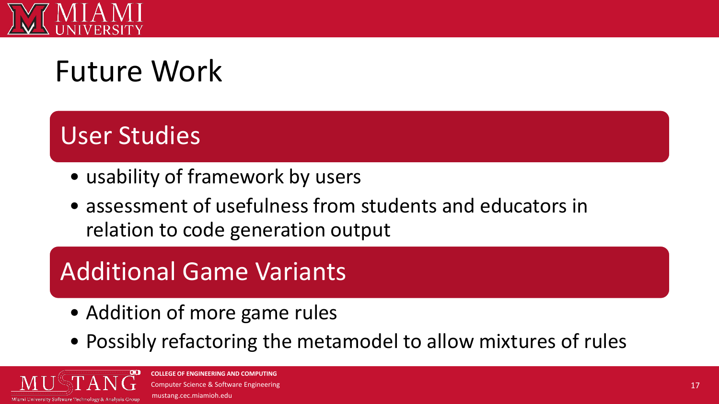

# Future Work

## User Studies

- usability of framework by users
- assessment of usefulness from students and educators in relation to code generation output

## Additional Game Variants

- Addition of more game rules
- Possibly refactoring the metamodel to allow mixtures of rules